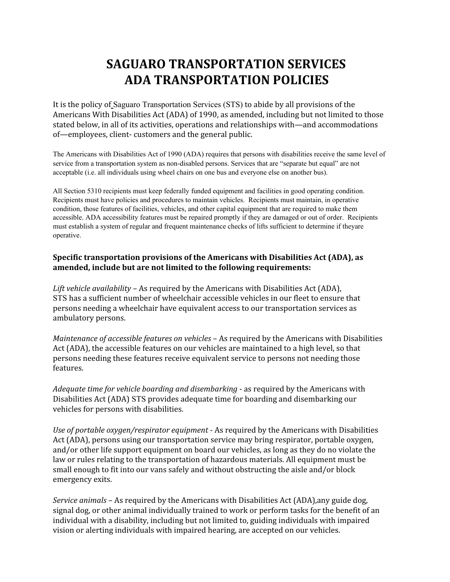## **SAGUARO TRANSPORTATION SERVICES ADA TRANSPORTATION POLICIES**

It is the policy of Saguaro Transportation Services (STS) to abide by all provisions of the Americans With Disabilities Act (ADA) of 1990, as amended, including but not limited to those stated below, in all of its activities, operations and relationships with—and accommodations of—employees, client- customers and the general public.

The Americans with Disabilities Act of 1990 (ADA) requires that persons with disabilities receive the same level of service from a transportation system as non-disabled persons. Services that are "separate but equal" are not acceptable (i.e. all individuals using wheel chairs on one bus and everyone else on another bus).

All Section 5310 recipients must keep federally funded equipment and facilities in good operating condition. Recipients must have policies and procedures to maintain vehicles. Recipients must maintain, in operative condition, those features of facilities, vehicles, and other capital equipment that are required to make them accessible. ADA accessibility features must be repaired promptly if they are damaged or out of order. Recipients must establish a system of regular and frequent maintenance checks of lifts sufficient to determine if theyare operative.

## **Specific transportation provisions of the Americans with Disabilities Act (ADA), as amended, include but are not limited to the following requirements:**

*Lift vehicle availability* – As required by the Americans with Disabilities Act (ADA), STS has a sufficient number of wheelchair accessible vehicles in our fleet to ensure that persons needing a wheelchair have equivalent access to our transportation services as ambulatory persons.

*Maintenance of accessible features on vehicles* – As required by the Americans with Disabilities Act (ADA), the accessible features on our vehicles are maintained to a high level, so that persons needing these features receive equivalent service to persons not needing those features.

*Adequate time for vehicle boarding and disembarking* - as required by the Americans with Disabilities Act (ADA) STS provides adequate time for boarding and disembarking our vehicles for persons with disabilities.

*Use of portable oxygen/respirator equipment* - As required by the Americans with Disabilities Act (ADA), persons using our transportation service may bring respirator, portable oxygen, and/or other life support equipment on board our vehicles, as long as they do no violate the law or rules relating to the transportation of hazardous materials. All equipment must be small enough to fit into our vans safely and without obstructing the aisle and/or block emergency exits.

*Service animals* – As required by the Americans with Disabilities Act (ADA),any guide dog, signal dog, or other animal individually trained to work or perform tasks for the benefit of an individual with a disability, including but not limited to, guiding individuals with impaired vision or alerting individuals with impaired hearing, are accepted on our vehicles.